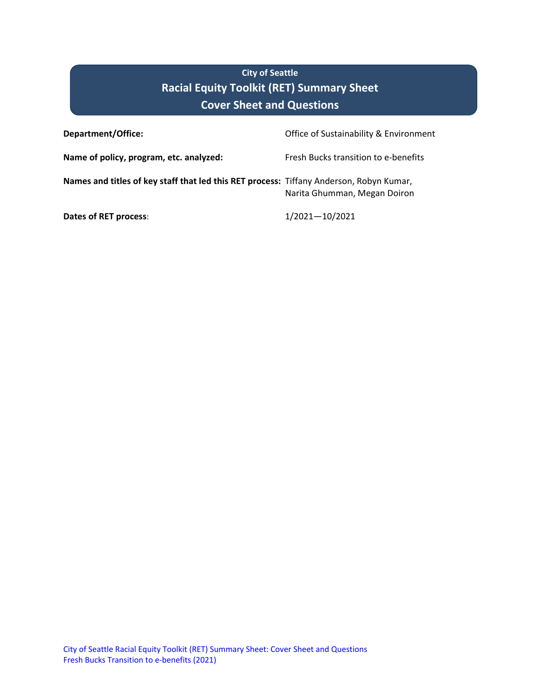# **City of Seattle Racial Equity Toolkit (RET) Summary Sheet Cover Sheet and Questions**

| <b>Department/Office:</b>                                                               | Office of Sustainability & Environment |
|-----------------------------------------------------------------------------------------|----------------------------------------|
| Name of policy, program, etc. analyzed:                                                 | Fresh Bucks transition to e-benefits   |
| Names and titles of key staff that led this RET process: Tiffany Anderson, Robyn Kumar, | Narita Ghumman, Megan Doiron           |
| Dates of RET process:                                                                   | $1/2021 - 10/2021$                     |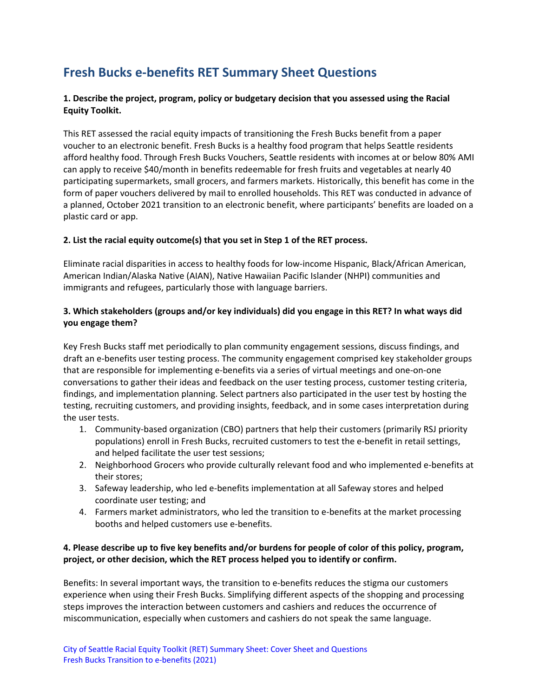# **Fresh Bucks e-benefits RET Summary Sheet Questions**

#### **1. Describe the project, program, policy or budgetary decision that you assessed using the Racial Equity Toolkit.**

This RET assessed the racial equity impacts of transitioning the Fresh Bucks benefit from a paper voucher to an electronic benefit. Fresh Bucks is a healthy food program that helps Seattle residents afford healthy food. Through Fresh Bucks Vouchers, Seattle residents with incomes at or below 80% AMI can apply to receive \$40/month in benefits redeemable for fresh fruits and vegetables at nearly 40 participating supermarkets, small grocers, and farmers markets. Historically, this benefit has come in the form of paper vouchers delivered by mail to enrolled households. This RET was conducted in advance of a planned, October 2021 transition to an electronic benefit, where participants' benefits are loaded on a plastic card or app.

#### **2. List the racial equity outcome(s) that you set in Step 1 of the RET process.**

Eliminate racial disparities in access to healthy foods for low-income Hispanic, Black/African American, American Indian/Alaska Native (AIAN), Native Hawaiian Pacific Islander (NHPI) communities and immigrants and refugees, particularly those with language barriers.

### **3. Which stakeholders (groups and/or key individuals) did you engage in this RET? In what ways did you engage them?**

Key Fresh Bucks staff met periodically to plan community engagement sessions, discuss findings, and draft an e-benefits user testing process. The community engagement comprised key stakeholder groups that are responsible for implementing e-benefits via a series of virtual meetings and one-on-one conversations to gather their ideas and feedback on the user testing process, customer testing criteria, findings, and implementation planning. Select partners also participated in the user test by hosting the testing, recruiting customers, and providing insights, feedback, and in some cases interpretation during the user tests.

- 1. Community-based organization (CBO) partners that help their customers (primarily RSJ priority populations) enroll in Fresh Bucks, recruited customers to test the e-benefit in retail settings, and helped facilitate the user test sessions;
- 2. Neighborhood Grocers who provide culturally relevant food and who implemented e-benefits at their stores;
- 3. Safeway leadership, who led e-benefits implementation at all Safeway stores and helped coordinate user testing; and
- 4. Farmers market administrators, who led the transition to e-benefits at the market processing booths and helped customers use e-benefits.

#### **4. Please describe up to five key benefits and/or burdens for people of color of this policy, program, project, or other decision, which the RET process helped you to identify or confirm.**

Benefits: In several important ways, the transition to e-benefits reduces the stigma our customers experience when using their Fresh Bucks. Simplifying different aspects of the shopping and processing steps improves the interaction between customers and cashiers and reduces the occurrence of miscommunication, especially when customers and cashiers do not speak the same language.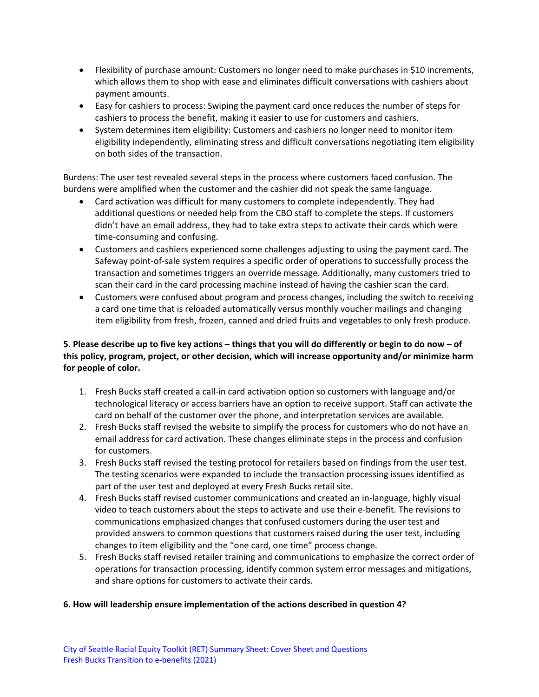- Flexibility of purchase amount: Customers no longer need to make purchases in \$10 increments, which allows them to shop with ease and eliminates difficult conversations with cashiers about payment amounts.
- Easy for cashiers to process: Swiping the payment card once reduces the number of steps for cashiers to process the benefit, making it easier to use for customers and cashiers.
- System determines item eligibility: Customers and cashiers no longer need to monitor item eligibility independently, eliminating stress and difficult conversations negotiating item eligibility on both sides of the transaction.

Burdens: The user test revealed several steps in the process where customers faced confusion. The burdens were amplified when the customer and the cashier did not speak the same language.

- Card activation was difficult for many customers to complete independently. They had additional questions or needed help from the CBO staff to complete the steps. If customers didn't have an email address, they had to take extra steps to activate their cards which were time-consuming and confusing.
- Customers and cashiers experienced some challenges adjusting to using the payment card. The Safeway point-of-sale system requires a specific order of operations to successfully process the transaction and sometimes triggers an override message. Additionally, many customers tried to scan their card in the card processing machine instead of having the cashier scan the card.
- Customers were confused about program and process changes, including the switch to receiving a card one time that is reloaded automatically versus monthly voucher mailings and changing item eligibility from fresh, frozen, canned and dried fruits and vegetables to only fresh produce.

## **5. Please describe up to five key actions – things that you will do differently or begin to do now – of this policy, program, project, or other decision, which will increase opportunity and/or minimize harm for people of color.**

- 1. Fresh Bucks staff created a call-in card activation option so customers with language and/or technological literacy or access barriers have an option to receive support. Staff can activate the card on behalf of the customer over the phone, and interpretation services are available.
- 2. Fresh Bucks staff revised the website to simplify the process for customers who do not have an email address for card activation. These changes eliminate steps in the process and confusion for customers.
- 3. Fresh Bucks staff revised the testing protocol for retailers based on findings from the user test. The testing scenarios were expanded to include the transaction processing issues identified as part of the user test and deployed at every Fresh Bucks retail site.
- 4. Fresh Bucks staff revised customer communications and created an in-language, highly visual video to teach customers about the steps to activate and use their e-benefit. The revisions to communications emphasized changes that confused customers during the user test and provided answers to common questions that customers raised during the user test, including changes to item eligibility and the "one card, one time" process change.
- 5. Fresh Bucks staff revised retailer training and communications to emphasize the correct order of operations for transaction processing, identify common system error messages and mitigations, and share options for customers to activate their cards.

#### **6. How will leadership ensure implementation of the actions described in question 4?**